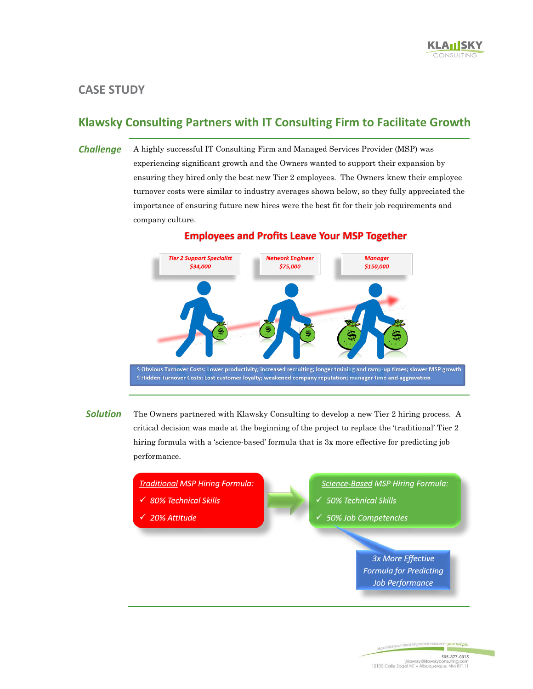## **CASE STUDY**

## **Klawsky Consulting Partners with IT Consulting Firm to Facilitate Growth**

*Challenge* A highly successful IT Consulting Firm and Managed Services Provider (MSP) was experiencing significant growth and the Owners wanted to support their expansion by ensuring they hired only the best new Tier 2 employees. The Owners knew their employee turnover costs were similar to industry averages shown below, so they fully appreciated the importance of ensuring future new hires were the best fit for their job requirements and company culture.



## **Employees and Profits Leave Your MSP Together**

**Solution** The Owners partnered with Klawsky Consulting to develop a new Tier 2 hiring process. A critical decision was made at the beginning of the project to replace the 'traditional' Tier 2 hiring formula with a 'science-based' formula that is 3x more effective for predicting job performance.

**Traditional MSP Hiring Formula:** 

- 80% Technical Skills
- 20% Attitude
- **Science-Based MSP Hiring Formula:**
- $\checkmark$  50% Technical Skills
- $\checkmark$  50% Job Competencies

**3x More Effective Formula for Predicting Job Performance**